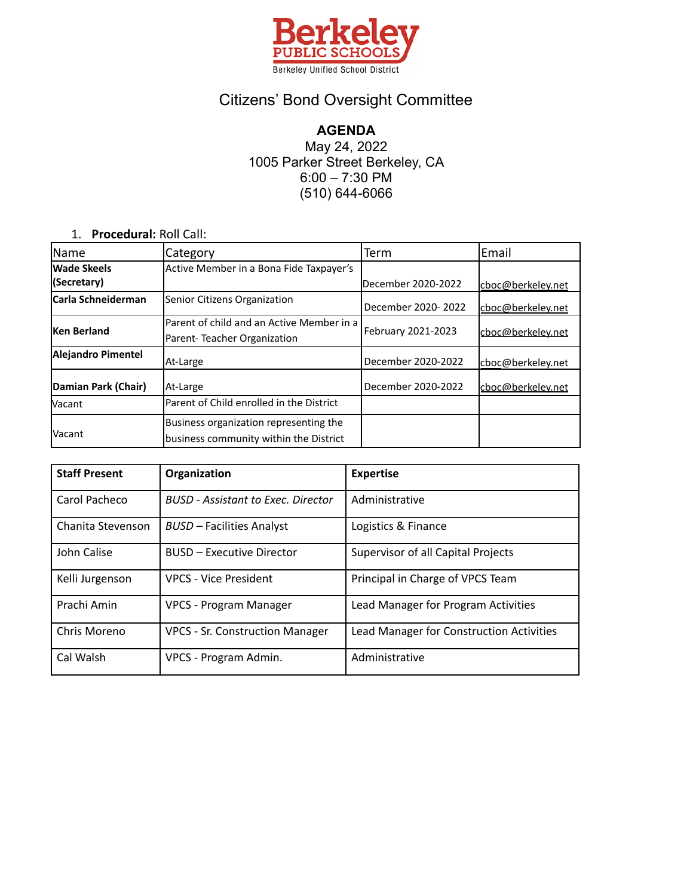

## Citizens' Bond Oversight Committee

**AGENDA** May 24, 2022 1005 Parker Street Berkeley, CA 6:00 – 7:30 PM (510) 644-6066

1. **Procedural:** Roll Call:

| <b>Name</b>                | Category                                  | Term               | Email              |
|----------------------------|-------------------------------------------|--------------------|--------------------|
| Wade Skeels                | Active Member in a Bona Fide Taxpayer's   |                    |                    |
| (Secretary)                |                                           | December 2020-2022 | cboc@berkeley.net  |
| <b>ICarla Schneiderman</b> | Senior Citizens Organization              | December 2020-2022 | cboc@berkeley.net  |
| Ken Berland                | Parent of child and an Active Member in a | February 2021-2023 | lcboc@berkelev.net |
|                            | Parent-Teacher Organization               |                    |                    |
| Alejandro Pimentel         | At-Large                                  | December 2020-2022 | cboc@berkeley.net  |
| Damian Park (Chair)        | At-Large                                  | December 2020-2022 | cboc@berkeley.net  |
| <b>Vacant</b>              | Parent of Child enrolled in the District  |                    |                    |
|                            | Business organization representing the    |                    |                    |
| lVacant                    | business community within the District    |                    |                    |

| <b>Staff Present</b> | Organization                              | <b>Expertise</b>                         |  |
|----------------------|-------------------------------------------|------------------------------------------|--|
| Carol Pacheco        | <b>BUSD</b> - Assistant to Exec. Director | Administrative                           |  |
| Chanita Stevenson    | <b>BUSD - Facilities Analyst</b>          | Logistics & Finance                      |  |
| John Calise          | <b>BUSD - Executive Director</b>          | Supervisor of all Capital Projects       |  |
| Kelli Jurgenson      | <b>VPCS - Vice President</b>              | Principal in Charge of VPCS Team         |  |
| Prachi Amin          | <b>VPCS - Program Manager</b>             | Lead Manager for Program Activities      |  |
| Chris Moreno         | <b>VPCS - Sr. Construction Manager</b>    | Lead Manager for Construction Activities |  |
| Cal Walsh            | VPCS - Program Admin.                     | Administrative                           |  |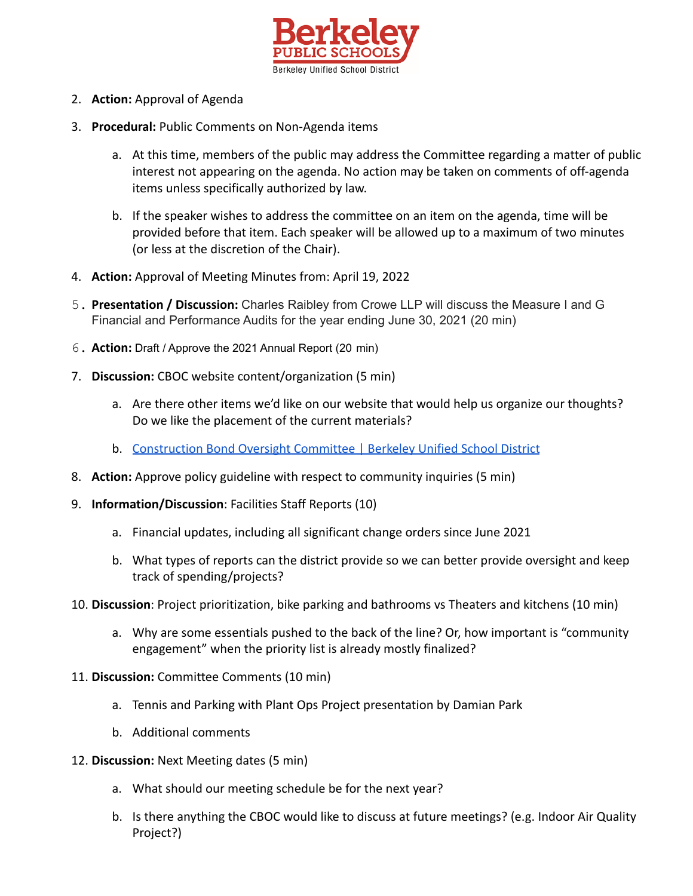

- 2. **Action:** Approval of Agenda
- 3. **Procedural:** Public Comments on Non-Agenda items
	- a. At this time, members of the public may address the Committee regarding a matter of public interest not appearing on the agenda. No action may be taken on comments of off-agenda items unless specifically authorized by law.
	- b. If the speaker wishes to address the committee on an item on the agenda, time will be provided before that item. Each speaker will be allowed up to a maximum of two minutes (or less at the discretion of the Chair).
- 4. **Action:** Approval of Meeting Minutes from: April 19, 2022
- 5. **Presentation / Discussion:** Charles Raibley from Crowe LLP will discuss the Measure I and G Financial and Performance Audits for the year ending June 30, 2021 (20 min)
- 6. **Action:** Draft / Approve the 2021 Annual Report (20 min)
- 7. **Discussion:** CBOC website content/organization (5 min)
	- a. Are there other items we'd like on our website that would help us organize our thoughts? Do we like the placement of the current materials?
	- b. [Construction Bond Oversight Committee | Berkeley Unified School District](https://www.berkeleyschools.net/departments/facilities/measure-i-bond-citizens-oversight-committee/)
- 8. **Action:** Approve policy guideline with respect to community inquiries (5 min)
- 9. **Information/Discussion**: Facilities Staff Reports (10)
	- a. Financial updates, including all significant change orders since June 2021
	- b. What types of reports can the district provide so we can better provide oversight and keep track of spending/projects?
- 10. **Discussion**: Project prioritization, bike parking and bathrooms vs Theaters and kitchens (10 min)
	- a. Why are some essentials pushed to the back of the line? Or, how important is "community engagement" when the priority list is already mostly finalized?
- 11. **Discussion:** Committee Comments (10 min)
	- a. Tennis and Parking with Plant Ops Project presentation by Damian Park
	- b. Additional comments
- 12. **Discussion:** Next Meeting dates (5 min)
	- a. What should our meeting schedule be for the next year?
	- b. Is there anything the CBOC would like to discuss at future meetings? (e.g. Indoor Air Quality Project?)